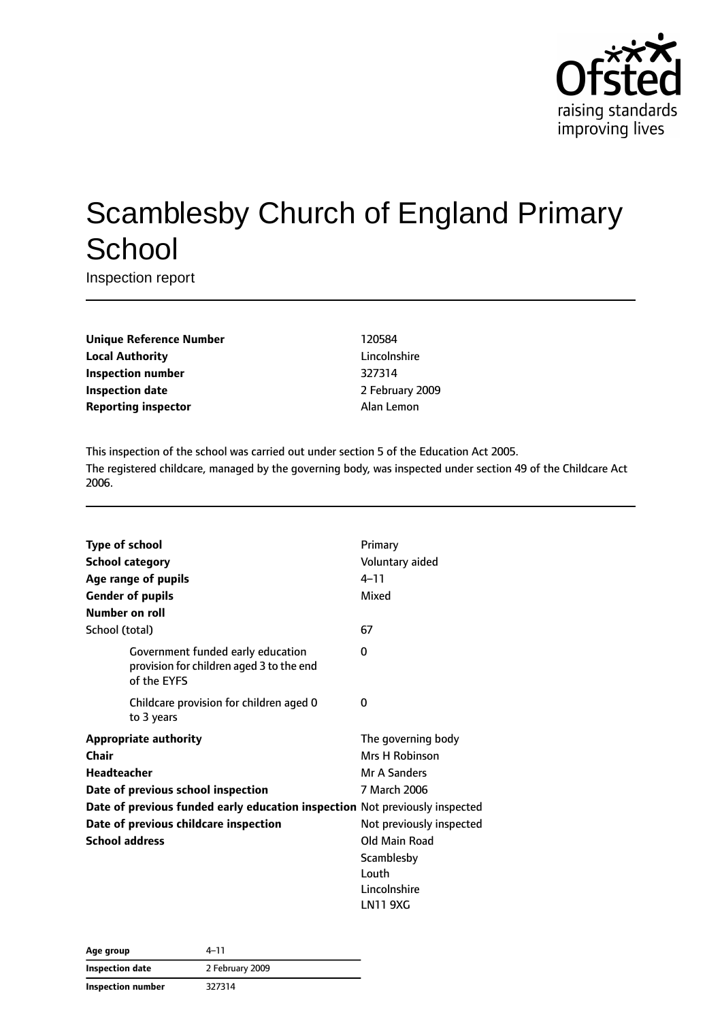

# Scamblesby Church of England Primary **School**

Inspection report

| <b>Unique Reference Number</b> |
|--------------------------------|
| <b>Local Authority</b>         |
| <b>Inspection number</b>       |
| <b>Inspection date</b>         |
| <b>Reporting inspector</b>     |

**Unique Reference Number** 120584 **Lincolnshire Inspection number** 327314 **Inspection date** 2 February 2009 **Alan Lemon** 

This inspection of the school was carried out under section 5 of the Education Act 2005. The registered childcare, managed by the governing body, was inspected under section 49 of the Childcare Act 2006.

|                    | <b>Type of school</b>                                                                        | Primary                  |
|--------------------|----------------------------------------------------------------------------------------------|--------------------------|
|                    | <b>School category</b>                                                                       | Voluntary aided          |
|                    |                                                                                              | $4 - 11$                 |
|                    | Age range of pupils                                                                          |                          |
|                    | <b>Gender of pupils</b>                                                                      | Mixed                    |
|                    | Number on roll                                                                               |                          |
| School (total)     |                                                                                              | 67                       |
|                    | Government funded early education<br>provision for children aged 3 to the end<br>of the EYFS | 0                        |
|                    | Childcare provision for children aged 0<br>to 3 years                                        | 0                        |
|                    | <b>Appropriate authority</b>                                                                 | The governing body       |
| Chair              |                                                                                              | Mrs H Robinson           |
| <b>Headteacher</b> |                                                                                              | Mr A Sanders             |
|                    | Date of previous school inspection                                                           | 7 March 2006             |
|                    | Date of previous funded early education inspection Not previously inspected                  |                          |
|                    | Date of previous childcare inspection                                                        | Not previously inspected |
|                    | <b>School address</b>                                                                        | Old Main Road            |
|                    |                                                                                              | Scamblesby               |
|                    |                                                                                              | Louth                    |
|                    |                                                                                              | Lincolnshire             |
|                    |                                                                                              | LN11 9XG                 |

| Age group              | 4–11            |  |
|------------------------|-----------------|--|
| <b>Inspection date</b> | 2 February 2009 |  |
| Inspection number      | 327314          |  |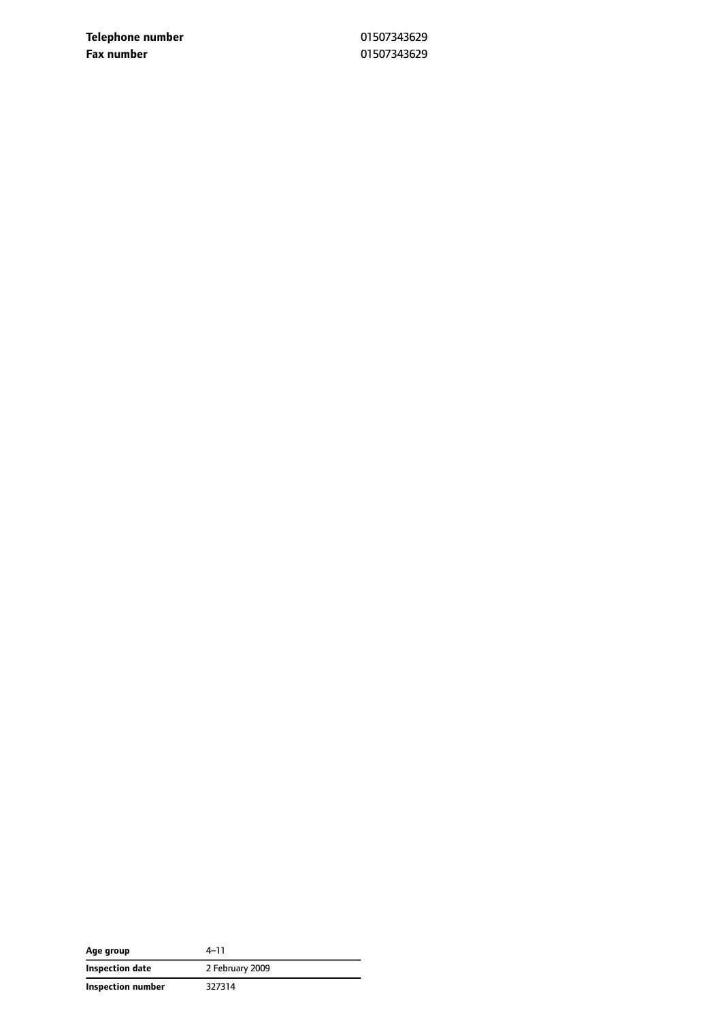**Telephone number** 01507343629 **Fax number** 01507343629

| Age group         | 4–11            |
|-------------------|-----------------|
| Inspection date   | 2 February 2009 |
| Inspection number | 327314          |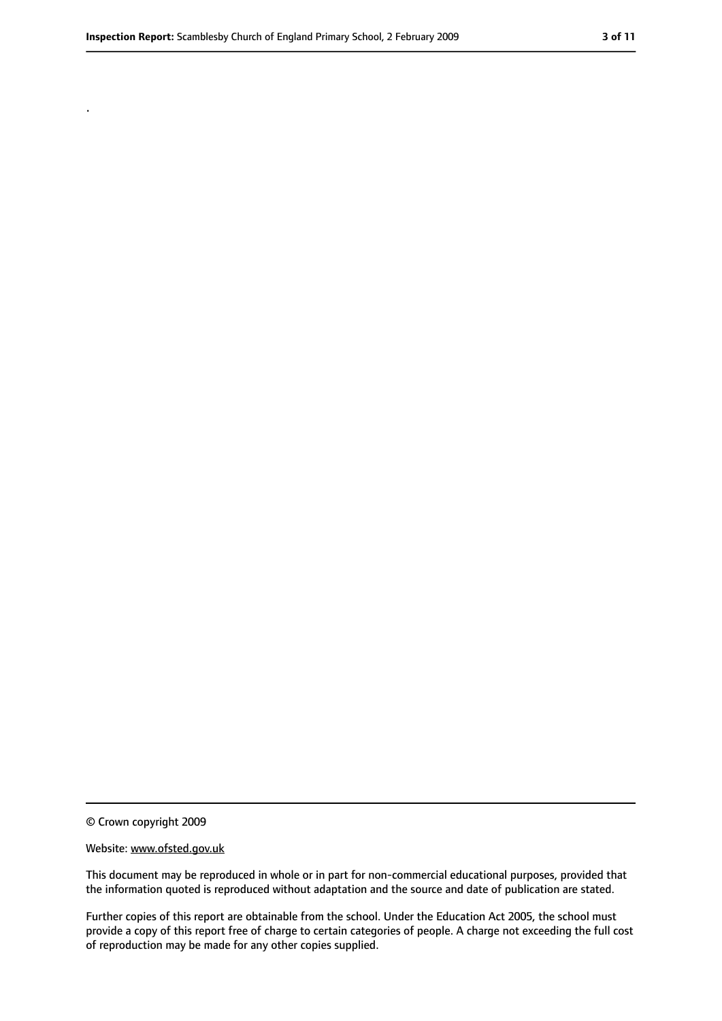.

<sup>©</sup> Crown copyright 2009

Website: www.ofsted.gov.uk

This document may be reproduced in whole or in part for non-commercial educational purposes, provided that the information quoted is reproduced without adaptation and the source and date of publication are stated.

Further copies of this report are obtainable from the school. Under the Education Act 2005, the school must provide a copy of this report free of charge to certain categories of people. A charge not exceeding the full cost of reproduction may be made for any other copies supplied.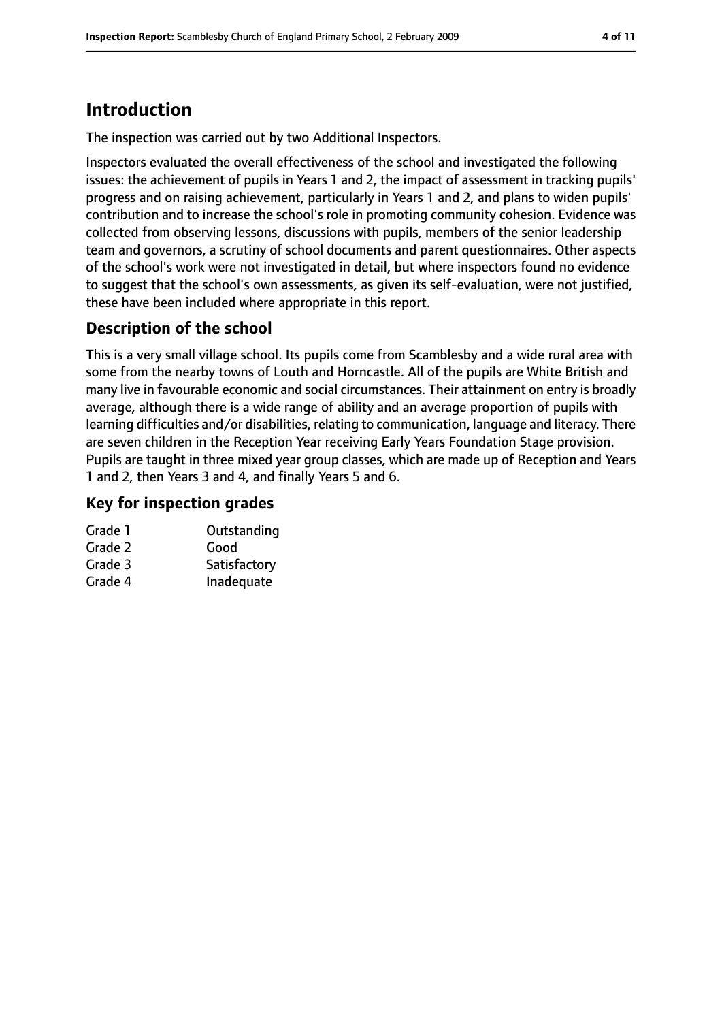# **Introduction**

The inspection was carried out by two Additional Inspectors.

Inspectors evaluated the overall effectiveness of the school and investigated the following issues: the achievement of pupils in Years 1 and 2, the impact of assessment in tracking pupils' progress and on raising achievement, particularly in Years 1 and 2, and plans to widen pupils' contribution and to increase the school's role in promoting community cohesion. Evidence was collected from observing lessons, discussions with pupils, members of the senior leadership team and governors, a scrutiny of school documents and parent questionnaires. Other aspects of the school's work were not investigated in detail, but where inspectors found no evidence to suggest that the school's own assessments, as given its self-evaluation, were not justified, these have been included where appropriate in this report.

## **Description of the school**

This is a very small village school. Its pupils come from Scamblesby and a wide rural area with some from the nearby towns of Louth and Horncastle. All of the pupils are White British and many live in favourable economic and social circumstances. Their attainment on entry is broadly average, although there is a wide range of ability and an average proportion of pupils with learning difficulties and/or disabilities, relating to communication, language and literacy. There are seven children in the Reception Year receiving Early Years Foundation Stage provision. Pupils are taught in three mixed year group classes, which are made up of Reception and Years 1 and 2, then Years 3 and 4, and finally Years 5 and 6.

#### **Key for inspection grades**

| Outstanding  |
|--------------|
| Good         |
| Satisfactory |
| Inadequate   |
|              |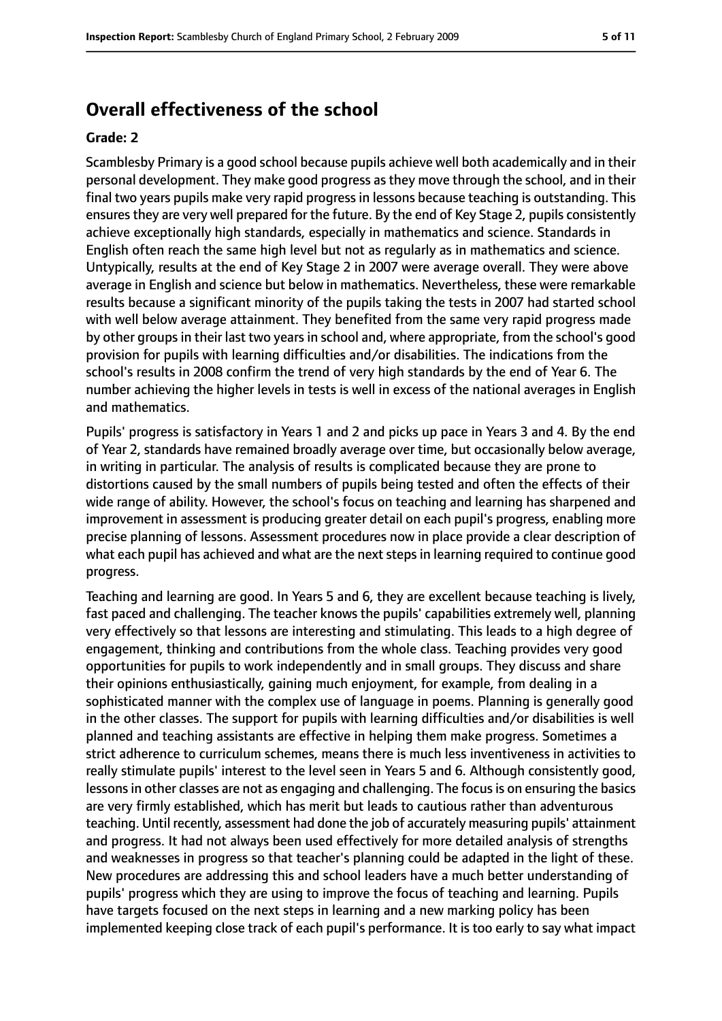#### **Overall effectiveness of the school**

#### **Grade: 2**

Scamblesby Primary is a good school because pupils achieve well both academically and in their personal development. They make good progress as they move through the school, and in their final two years pupils make very rapid progress in lessons because teaching is outstanding. This ensures they are very well prepared for the future. By the end of Key Stage 2, pupils consistently achieve exceptionally high standards, especially in mathematics and science. Standards in English often reach the same high level but not as regularly as in mathematics and science. Untypically, results at the end of Key Stage 2 in 2007 were average overall. They were above average in English and science but below in mathematics. Nevertheless, these were remarkable results because a significant minority of the pupils taking the tests in 2007 had started school with well below average attainment. They benefited from the same very rapid progress made by other groups in their last two years in school and, where appropriate, from the school's good provision for pupils with learning difficulties and/or disabilities. The indications from the school's results in 2008 confirm the trend of very high standards by the end of Year 6. The number achieving the higher levels in tests is well in excess of the national averages in English and mathematics.

Pupils' progress is satisfactory in Years 1 and 2 and picks up pace in Years 3 and 4. By the end of Year 2, standards have remained broadly average over time, but occasionally below average, in writing in particular. The analysis of results is complicated because they are prone to distortions caused by the small numbers of pupils being tested and often the effects of their wide range of ability. However, the school's focus on teaching and learning has sharpened and improvement in assessment is producing greater detail on each pupil's progress, enabling more precise planning of lessons. Assessment procedures now in place provide a clear description of what each pupil has achieved and what are the next steps in learning required to continue good progress.

Teaching and learning are good. In Years 5 and 6, they are excellent because teaching is lively, fast paced and challenging. The teacher knows the pupils' capabilities extremely well, planning very effectively so that lessons are interesting and stimulating. This leads to a high degree of engagement, thinking and contributions from the whole class. Teaching provides very good opportunities for pupils to work independently and in small groups. They discuss and share their opinions enthusiastically, gaining much enjoyment, for example, from dealing in a sophisticated manner with the complex use of language in poems. Planning is generally good in the other classes. The support for pupils with learning difficulties and/or disabilities is well planned and teaching assistants are effective in helping them make progress. Sometimes a strict adherence to curriculum schemes, means there is much less inventiveness in activities to really stimulate pupils' interest to the level seen in Years 5 and 6. Although consistently good, lessons in other classes are not as engaging and challenging. The focus is on ensuring the basics are very firmly established, which has merit but leads to cautious rather than adventurous teaching. Until recently, assessment had done the job of accurately measuring pupils' attainment and progress. It had not always been used effectively for more detailed analysis of strengths and weaknesses in progress so that teacher's planning could be adapted in the light of these. New procedures are addressing this and school leaders have a much better understanding of pupils' progress which they are using to improve the focus of teaching and learning. Pupils have targets focused on the next steps in learning and a new marking policy has been implemented keeping close track of each pupil's performance. It is too early to say what impact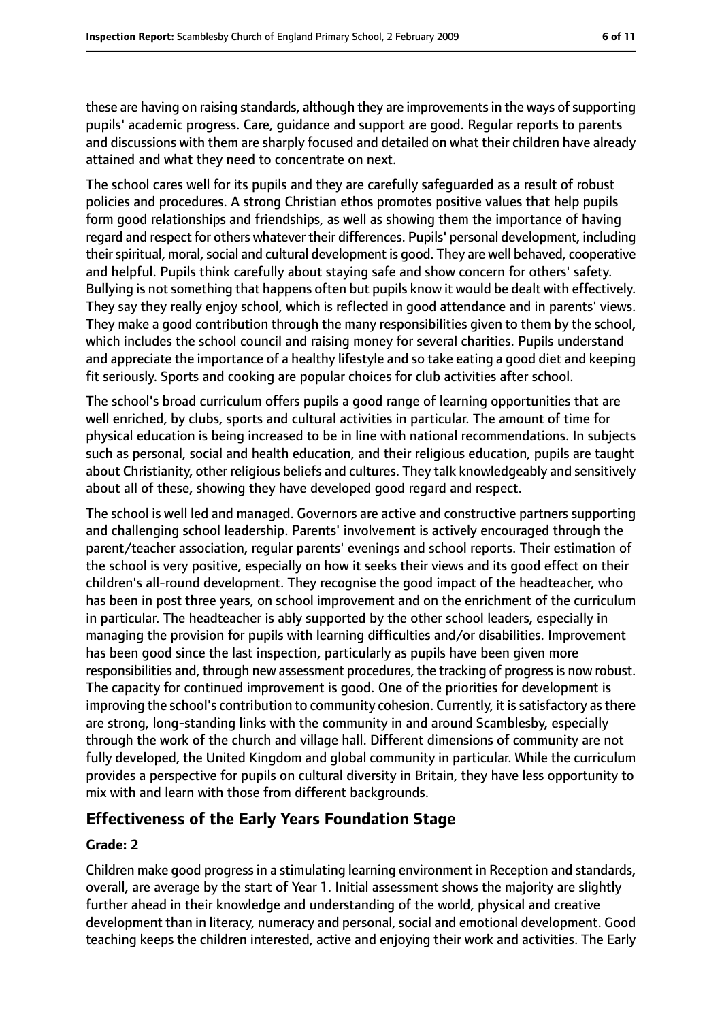these are having on raising standards, although they are improvements in the ways of supporting pupils' academic progress. Care, guidance and support are good. Regular reports to parents and discussions with them are sharply focused and detailed on what their children have already attained and what they need to concentrate on next.

The school cares well for its pupils and they are carefully safeguarded as a result of robust policies and procedures. A strong Christian ethos promotes positive values that help pupils form good relationships and friendships, as well as showing them the importance of having regard and respect for others whatever their differences. Pupils' personal development, including their spiritual, moral, social and cultural development is good. They are well behaved, cooperative and helpful. Pupils think carefully about staying safe and show concern for others' safety. Bullying is not something that happens often but pupils know it would be dealt with effectively. They say they really enjoy school, which is reflected in good attendance and in parents' views. They make a good contribution through the many responsibilities given to them by the school, which includes the school council and raising money for several charities. Pupils understand and appreciate the importance of a healthy lifestyle and so take eating a good diet and keeping fit seriously. Sports and cooking are popular choices for club activities after school.

The school's broad curriculum offers pupils a good range of learning opportunities that are well enriched, by clubs, sports and cultural activities in particular. The amount of time for physical education is being increased to be in line with national recommendations. In subjects such as personal, social and health education, and their religious education, pupils are taught about Christianity, other religious beliefs and cultures. They talk knowledgeably and sensitively about all of these, showing they have developed good regard and respect.

The school is well led and managed. Governors are active and constructive partners supporting and challenging school leadership. Parents' involvement is actively encouraged through the parent/teacher association, regular parents' evenings and school reports. Their estimation of the school is very positive, especially on how it seeks their views and its good effect on their children's all-round development. They recognise the good impact of the headteacher, who has been in post three years, on school improvement and on the enrichment of the curriculum in particular. The headteacher is ably supported by the other school leaders, especially in managing the provision for pupils with learning difficulties and/or disabilities. Improvement has been good since the last inspection, particularly as pupils have been given more responsibilities and, through new assessment procedures, the tracking of progressis now robust. The capacity for continued improvement is good. One of the priorities for development is improving the school's contribution to community cohesion. Currently, it is satisfactory as there are strong, long-standing links with the community in and around Scamblesby, especially through the work of the church and village hall. Different dimensions of community are not fully developed, the United Kingdom and global community in particular. While the curriculum provides a perspective for pupils on cultural diversity in Britain, they have less opportunity to mix with and learn with those from different backgrounds.

#### **Effectiveness of the Early Years Foundation Stage**

#### **Grade: 2**

Children make good progress in a stimulating learning environment in Reception and standards, overall, are average by the start of Year 1. Initial assessment shows the majority are slightly further ahead in their knowledge and understanding of the world, physical and creative development than in literacy, numeracy and personal, social and emotional development. Good teaching keeps the children interested, active and enjoying their work and activities. The Early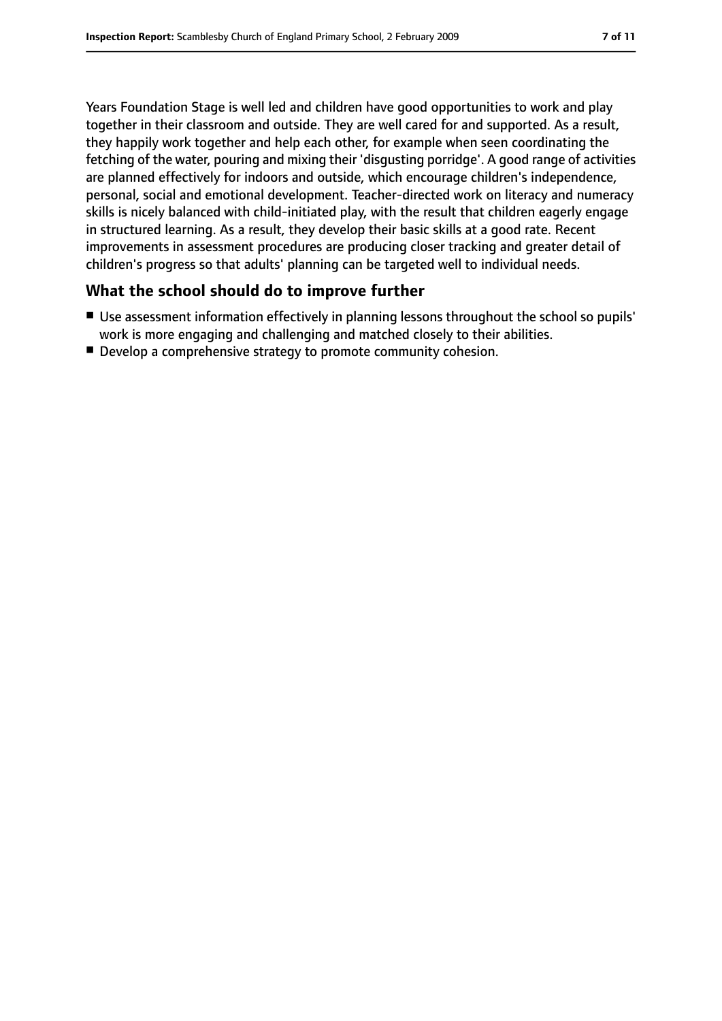Years Foundation Stage is well led and children have good opportunities to work and play together in their classroom and outside. They are well cared for and supported. As a result, they happily work together and help each other, for example when seen coordinating the fetching of the water, pouring and mixing their 'disgusting porridge'. A good range of activities are planned effectively for indoors and outside, which encourage children's independence, personal, social and emotional development. Teacher-directed work on literacy and numeracy skills is nicely balanced with child-initiated play, with the result that children eagerly engage in structured learning. As a result, they develop their basic skills at a good rate. Recent improvements in assessment procedures are producing closer tracking and greater detail of children's progress so that adults' planning can be targeted well to individual needs.

#### **What the school should do to improve further**

- Use assessment information effectively in planning lessons throughout the school so pupils' work is more engaging and challenging and matched closely to their abilities.
- Develop a comprehensive strategy to promote community cohesion.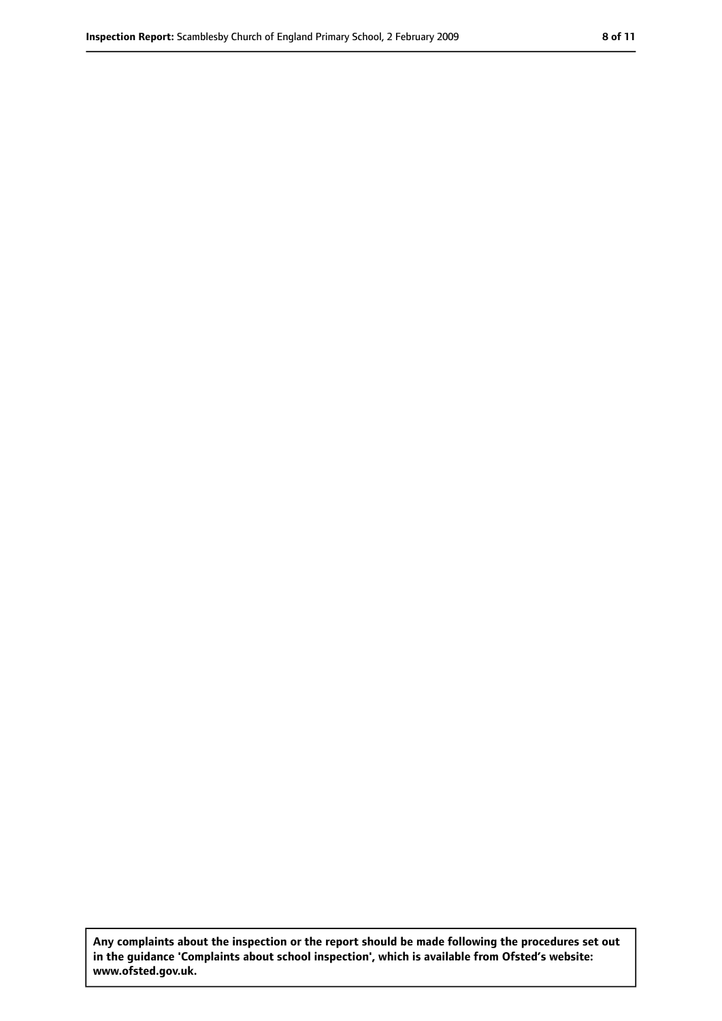**Any complaints about the inspection or the report should be made following the procedures set out in the guidance 'Complaints about school inspection', which is available from Ofsted's website: www.ofsted.gov.uk.**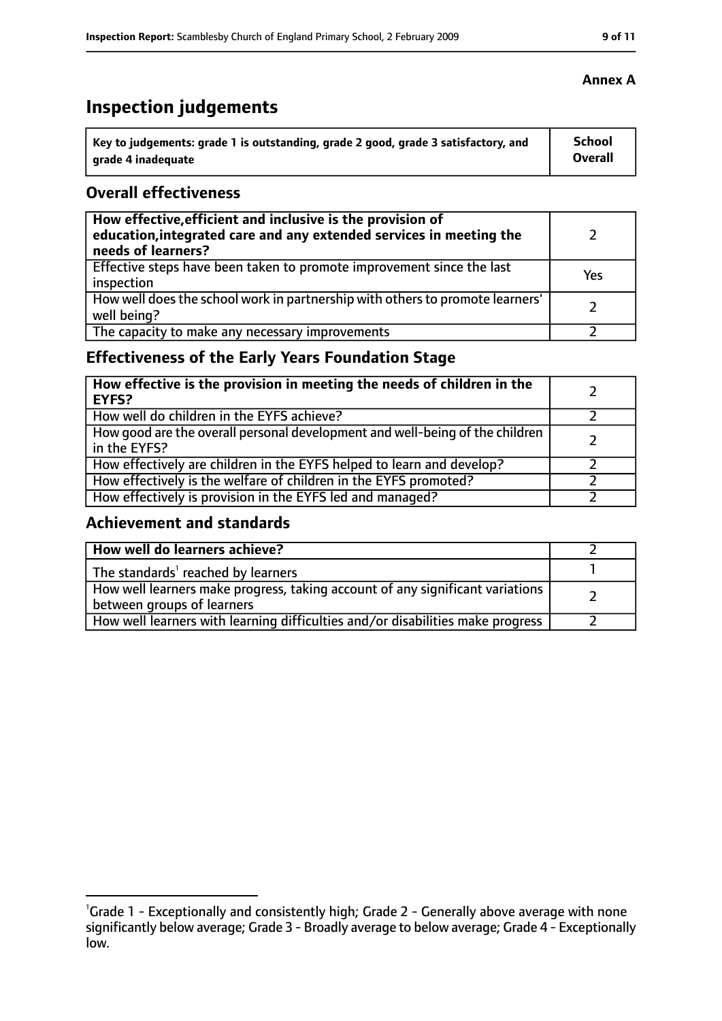# **Inspection judgements**

| Key to judgements: grade 1 is outstanding, grade 2 good, grade 3 satisfactory, and | <b>School</b> |
|------------------------------------------------------------------------------------|---------------|
| arade 4 inadequate                                                                 | Overall       |

#### **Overall effectiveness**

| How effective, efficient and inclusive is the provision of<br>education, integrated care and any extended services in meeting the<br>needs of learners? |     |
|---------------------------------------------------------------------------------------------------------------------------------------------------------|-----|
| Effective steps have been taken to promote improvement since the last<br>inspection                                                                     | Yes |
| How well does the school work in partnership with others to promote learners'<br>well being?                                                            |     |
| The capacity to make any necessary improvements                                                                                                         |     |

## **Effectiveness of the Early Years Foundation Stage**

| How effective is the provision in meeting the needs of children in the<br>l EYFS?            |  |
|----------------------------------------------------------------------------------------------|--|
| How well do children in the EYFS achieve?                                                    |  |
| How good are the overall personal development and well-being of the children<br>in the EYFS? |  |
| How effectively are children in the EYFS helped to learn and develop?                        |  |
| How effectively is the welfare of children in the EYFS promoted?                             |  |
| How effectively is provision in the EYFS led and managed?                                    |  |

#### **Achievement and standards**

| How well do learners achieve?                                                                               |  |
|-------------------------------------------------------------------------------------------------------------|--|
| The standards <sup>1</sup> reached by learners                                                              |  |
| How well learners make progress, taking account of any significant variations<br>between groups of learners |  |
| How well learners with learning difficulties and/or disabilities make progress                              |  |

<sup>&</sup>lt;sup>1</sup>Grade 1 - Exceptionally and consistently high; Grade 2 - Generally above average with none significantly below average; Grade 3 - Broadly average to below average; Grade 4 - Exceptionally low.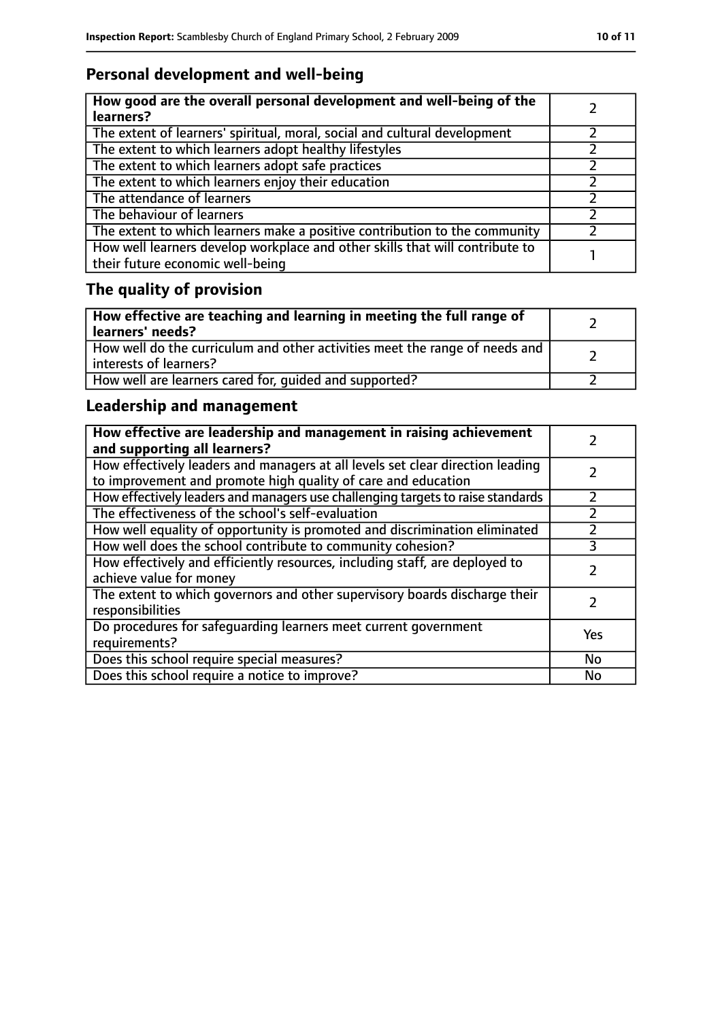## **Personal development and well-being**

| How good are the overall personal development and well-being of the<br>learners?                                 |  |
|------------------------------------------------------------------------------------------------------------------|--|
| The extent of learners' spiritual, moral, social and cultural development                                        |  |
| The extent to which learners adopt healthy lifestyles                                                            |  |
| The extent to which learners adopt safe practices                                                                |  |
| The extent to which learners enjoy their education                                                               |  |
| The attendance of learners                                                                                       |  |
| The behaviour of learners                                                                                        |  |
| The extent to which learners make a positive contribution to the community                                       |  |
| How well learners develop workplace and other skills that will contribute to<br>their future economic well-being |  |

# **The quality of provision**

| How effective are teaching and learning in meeting the full range of<br>learners' needs?              |  |
|-------------------------------------------------------------------------------------------------------|--|
| How well do the curriculum and other activities meet the range of needs and<br>interests of learners? |  |
| How well are learners cared for, quided and supported?                                                |  |

## **Leadership and management**

| How effective are leadership and management in raising achievement<br>and supporting all learners?                                              |           |
|-------------------------------------------------------------------------------------------------------------------------------------------------|-----------|
| How effectively leaders and managers at all levels set clear direction leading<br>to improvement and promote high quality of care and education |           |
| How effectively leaders and managers use challenging targets to raise standards                                                                 |           |
| The effectiveness of the school's self-evaluation                                                                                               |           |
| How well equality of opportunity is promoted and discrimination eliminated                                                                      |           |
| How well does the school contribute to community cohesion?                                                                                      | 3         |
| How effectively and efficiently resources, including staff, are deployed to<br>achieve value for money                                          |           |
| The extent to which governors and other supervisory boards discharge their<br>responsibilities                                                  |           |
| Do procedures for safequarding learners meet current government<br>requirements?                                                                | Yes       |
| Does this school require special measures?                                                                                                      | <b>No</b> |
| Does this school require a notice to improve?                                                                                                   | No        |